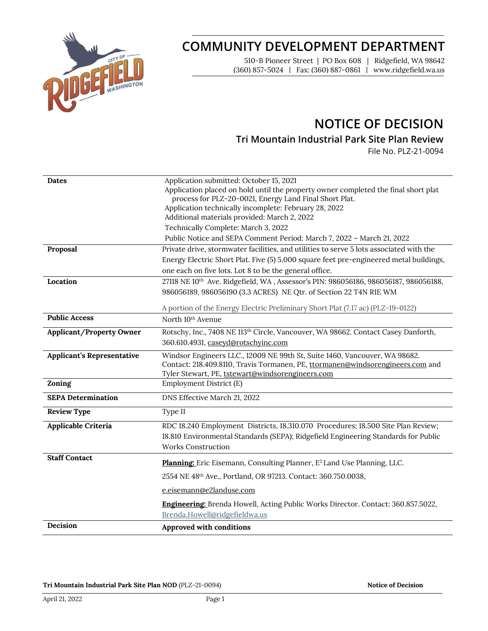

# **COMMUNITY DEVELOPMENT DEPARTMENT**

510-B Pioneer Street | PO Box 608 | Ridgefield, WA 98642 (360) 857-5024 | Fax: (360) 887-0861 | www.ridgefield.wa.us

# **NOTICE OF DECISION**

**Tri Mountain Industrial Park Site Plan Review**

File No. PLZ-21-0094

| <b>Dates</b><br>Proposal          | Application submitted: October 15, 2021<br>Application placed on hold until the property owner completed the final short plat<br>process for PLZ-20-0021, Energy Land Final Short Plat.<br>Application technically incomplete: February 28, 2022<br>Additional materials provided: March 2, 2022<br>Technically Complete: March 3, 2022<br>Public Notice and SEPA Comment Period: March 7, 2022 - March 21, 2022<br>Private drive, stormwater facilities, and utilities to serve 5 lots associated with the<br>Energy Electric Short Plat. Five (5) 5,000 square feet pre-engineered metal buildings,<br>one each on five lots. Lot 8 to be the general office. |
|-----------------------------------|-----------------------------------------------------------------------------------------------------------------------------------------------------------------------------------------------------------------------------------------------------------------------------------------------------------------------------------------------------------------------------------------------------------------------------------------------------------------------------------------------------------------------------------------------------------------------------------------------------------------------------------------------------------------|
| Location                          | 27118 NE 10th Ave. Ridgefield, WA, Assessor's PIN: 986056186, 986056187, 986056188,<br>986056189, 986056190 (3.3 ACRES) NE Qtr. of Section 22 T4N R1E WM<br>A portion of the Energy Electric Preliminary Short Plat (7.17 ac) (PLZ-19-0122)                                                                                                                                                                                                                                                                                                                                                                                                                     |
| <b>Public Access</b>              | North 10 <sup>th</sup> Avenue                                                                                                                                                                                                                                                                                                                                                                                                                                                                                                                                                                                                                                   |
| <b>Applicant/Property Owner</b>   | Rotschy, Inc., 7408 NE 113th Circle, Vancouver, WA 98662. Contact Casey Danforth,<br>360.610.4931, caseyd@rotschyinc.com                                                                                                                                                                                                                                                                                                                                                                                                                                                                                                                                        |
| <b>Applicant's Representative</b> | Windsor Engineers LLC., 12009 NE 99th St, Suite 1460, Vancouver, WA 98682.<br>Contact: 218.409.8110, Travis Tormanen, PE, ttormanen@windsorengineers.com and<br>Tyler Stewart, PE, tstewart@windsorengineers.com                                                                                                                                                                                                                                                                                                                                                                                                                                                |
| Zoning                            | Employment District (E)                                                                                                                                                                                                                                                                                                                                                                                                                                                                                                                                                                                                                                         |
| <b>SEPA Determination</b>         | DNS Effective March 21, 2022                                                                                                                                                                                                                                                                                                                                                                                                                                                                                                                                                                                                                                    |
| <b>Review Type</b>                | Type II                                                                                                                                                                                                                                                                                                                                                                                                                                                                                                                                                                                                                                                         |
| Applicable Criteria               | RDC 18.240 Employment Districts, 18.310.070 Procedures; 18.500 Site Plan Review;<br>18.810 Environmental Standards (SEPA); Ridgefield Engineering Standards for Public<br><b>Works Construction</b>                                                                                                                                                                                                                                                                                                                                                                                                                                                             |
| <b>Staff Contact</b>              | Planning: Eric Eisemann, Consulting Planner, E <sup>2</sup> Land Use Planning, LLC.                                                                                                                                                                                                                                                                                                                                                                                                                                                                                                                                                                             |
|                                   | 2554 NE 48th Ave., Portland, OR 97213. Contact: 360.750.0038,                                                                                                                                                                                                                                                                                                                                                                                                                                                                                                                                                                                                   |
|                                   | e.eisemann@e2landuse.com                                                                                                                                                                                                                                                                                                                                                                                                                                                                                                                                                                                                                                        |
|                                   | <b>Engineering:</b> Brenda Howell, Acting Public Works Director. Contact: 360.857.5022,<br>Brenda.Howell@ridgefieldwa.us                                                                                                                                                                                                                                                                                                                                                                                                                                                                                                                                        |
| Decision                          | Approved with conditions                                                                                                                                                                                                                                                                                                                                                                                                                                                                                                                                                                                                                                        |

**Tri Mountain Industrial Park Site Plan NOD** (PLZ-21-0094) **Notice of Decision**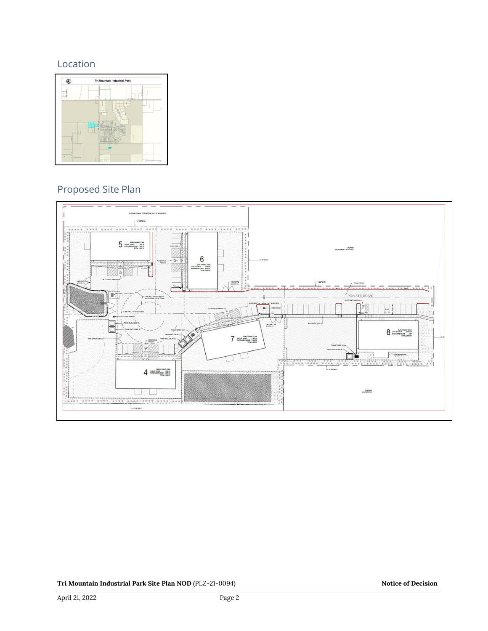## Location



## Proposed Site Plan

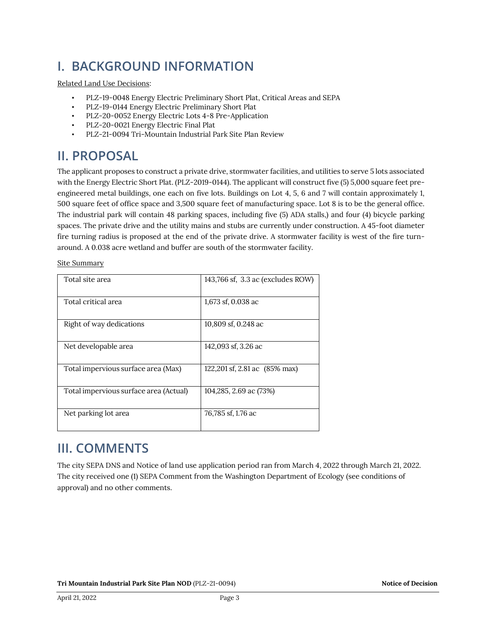# **I. BACKGROUND INFORMATION**

Related Land Use Decisions:

- PLZ-19-0048 Energy Electric Preliminary Short Plat, Critical Areas and SEPA
- PLZ-19-0144 Energy Electric Preliminary Short Plat
- PLZ-20-0052 Energy Electric Lots 4-8 Pre-Application
- PLZ-20-0021 Energy Electric Final Plat
- PLZ-21-0094 Tri-Mountain Industrial Park Site Plan Review

# **II. PROPOSAL**

The applicant proposes to construct a private drive, stormwater facilities, and utilities to serve 5 lots associated with the Energy Electric Short Plat. (PLZ-2019-0144). The applicant will construct five (5) 5,000 square feet preengineered metal buildings, one each on five lots. Buildings on Lot 4, 5, 6 and 7 will contain approximately 1, 500 square feet of office space and 3,500 square feet of manufacturing space. Lot 8 is to be the general office. The industrial park will contain 48 parking spaces, including five (5) ADA stalls,) and four (4) bicycle parking spaces. The private drive and the utility mains and stubs are currently under construction. A 45-foot diameter fire turning radius is proposed at the end of the private drive. A stormwater facility is west of the fire turnaround. A 0.038 acre wetland and buffer are south of the stormwater facility.

Site Summary

| Total site area                        | 143,766 sf, 3.3 ac (excludes ROW) |
|----------------------------------------|-----------------------------------|
| Total critical area                    | 1,673 sf, 0.038 ac                |
| Right of way dedications               | 10,809 sf, 0.248 ac               |
| Net developable area                   | 142,093 sf, 3.26 ac               |
| Total impervious surface area (Max)    | 122,201 sf, 2.81 ac (85% max)     |
| Total impervious surface area (Actual) | 104,285, 2.69 ac (73%)            |
| Net parking lot area                   | 76,785 sf, 1.76 ac                |

## **III. COMMENTS**

The city SEPA DNS and Notice of land use application period ran from March 4, 2022 through March 21, 2022. The city received one (1) SEPA Comment from the Washington Department of Ecology (see conditions of approval) and no other comments.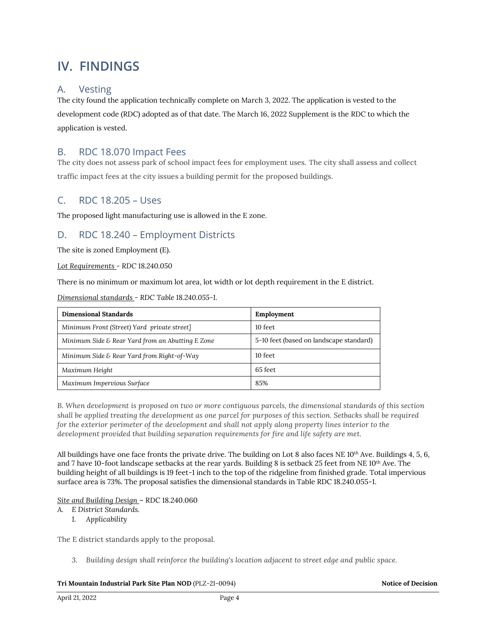# **IV. FINDINGS**

## A. Vesting

The city found the application technically complete on March 3, 2022. The application is vested to the development code (RDC) adopted as of that date. The March 16, 2022 Supplement is the RDC to which the application is vested.

## B. RDC 18.070 Impact Fees

The city does not assess park of school impact fees for employment uses. The city shall assess and collect traffic impact fees at the city issues a building permit for the proposed buildings.

## C. RDC 18.205 – Uses

The proposed light manufacturing use is allowed in the E zone.

### D. RDC 18.240 – Employment Districts

The site is zoned Employment (E).

*Lot Requirements - RDC 18.240.050*

There is no minimum or maximum lot area, lot width or lot depth requirement in the E district.

*Dimensional standards - RDC Table 18.240.055-1.* 

| <b>Dimensional Standards</b>                     | Employment                              |  |  |
|--------------------------------------------------|-----------------------------------------|--|--|
| Minimum Front (Street) Yard private street]      | 10 feet                                 |  |  |
| Minimum Side & Rear Yard from an Abutting E Zone | 5-10 feet (based on landscape standard) |  |  |
| Minimum Side & Rear Yard from Right-of-Way       | 10 feet                                 |  |  |
| Maximum Height                                   | 65 feet                                 |  |  |
| Maximum Impervious Surface                       | 85%                                     |  |  |

*B. When development is proposed on two or more contiguous parcels, the dimensional standards of this section shall be applied treating the development as one parcel for purposes of this section. Setbacks shall be required for the exterior perimeter of the development and shall not apply along property lines interior to the development provided that building separation requirements for fire and life safety are met.*

All buildings have one face fronts the private drive. The building on Lot 8 also faces NE  $10^{th}$  Ave. Buildings 4, 5, 6, and 7 have 10-foot landscape setbacks at the rear yards. Building 8 is setback 25 feet from NE 10<sup>th</sup> Ave. The building height of all buildings is 19 feet-1 inch to the top of the ridgeline from finished grade. Total impervious surface area is 73%. The proposal satisfies the dimensional standards in Table RDC 18.240.055-1.

### *Site and Building Design* – RDC 18.240.060

- *A. E District Standards.*
	- *1. Applicability*

The E district standards apply to the proposal.

*3. Building design shall reinforce the building's location adjacent to street edge and public space.*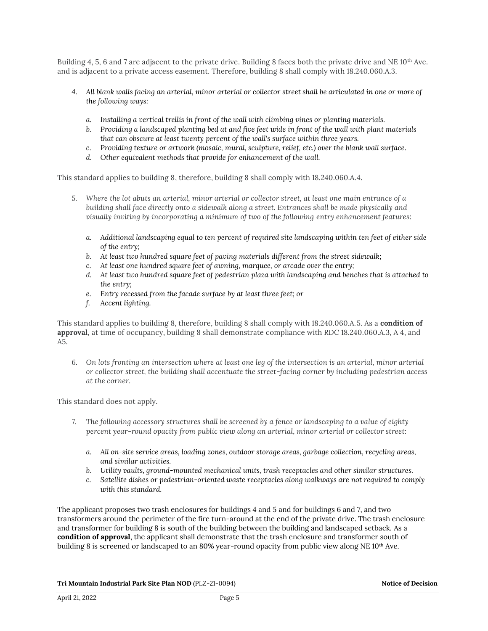Building 4, 5, 6 and 7 are adjacent to the private drive. Building 8 faces both the private drive and NE 10<sup>th</sup> Ave. and is adjacent to a private access easement. Therefore, building 8 shall comply with 18.240.060.A.3.

- *4. All blank walls facing an arterial, minor arterial or collector street shall be articulated in one or more of the following ways:*
	- *a. Installing a vertical trellis in front of the wall with climbing vines or planting materials.*
	- *b. Providing a landscaped planting bed at and five feet wide in front of the wall with plant materials that can obscure at least twenty percent of the wall's surface within three years.*
	- *c. Providing texture or artwork (mosaic, mural, sculpture, relief, etc.) over the blank wall surface.*
	- *d. Other equivalent methods that provide for enhancement of the wall.*

This standard applies to building 8, therefore, building 8 shall comply with 18.240.060.A.4.

- *5. Where the lot abuts an arterial, minor arterial or collector street, at least one main entrance of a building shall face directly onto a sidewalk along a street. Entrances shall be made physically and visually inviting by incorporating a minimum of two of the following entry enhancement features:*
	- *a. Additional landscaping equal to ten percent of required site landscaping within ten feet of either side of the entry;*
	- *b. At least two hundred square feet of paving materials different from the street sidewalk;*
	- *c. At least one hundred square feet of awning, marquee, or arcade over the entry;*
	- *d. At least two hundred square feet of pedestrian plaza with landscaping and benches that is attached to the entry;*
	- *e. Entry recessed from the facade surface by at least three feet; or*
	- *f. Accent lighting.*

This standard applies to building 8, therefore, building 8 shall comply with 18.240.060.A.5. As a **condition of approval**, at time of occupancy, building 8 shall demonstrate compliance with RDC 18.240.060.A.3, A 4, and A5.

*6. On lots fronting an intersection where at least one leg of the intersection is an arterial, minor arterial or collector street, the building shall accentuate the street-facing corner by including pedestrian access at the corner.*

This standard does not apply.

- *7. The following accessory structures shall be screened by a fence or landscaping to a value of eighty percent year-round opacity from public view along an arterial, minor arterial or collector street:*
	- *a. All on-site service areas, loading zones, outdoor storage areas, garbage collection, recycling areas, and similar activities.*
	- *b. Utility vaults, ground-mounted mechanical units, trash receptacles and other similar structures.*
	- *c. Satellite dishes or pedestrian-oriented waste receptacles along walkways are not required to comply with this standard.*

The applicant proposes two trash enclosures for buildings 4 and 5 and for buildings 6 and 7, and two transformers around the perimeter of the fire turn-around at the end of the private drive. The trash enclosure and transformer for building 8 is south of the building between the building and landscaped setback. As a **condition of approval**, the applicant shall demonstrate that the trash enclosure and transformer south of building 8 is screened or landscaped to an 80% year-round opacity from public view along NE 10<sup>th</sup> Ave.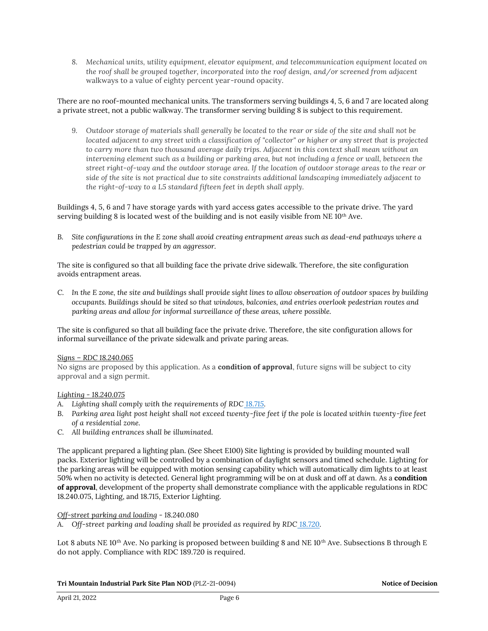*8. Mechanical units, utility equipment, elevator equipment, and telecommunication equipment located on the roof shall be grouped together, incorporated into the roof design, and/or screened from adjacent*  walkways to a value of eighty percent year-round opacity.

There are no roof-mounted mechanical units. The transformers serving buildings 4, 5, 6 and 7 are located along a private street, not a public walkway. The transformer serving building 8 is subject to this requirement.

*9. Outdoor storage of materials shall generally be located to the rear or side of the site and shall not be located adjacent to any street with a classification of "collector" or higher or any street that is projected to carry more than two thousand average daily trips. Adjacent in this context shall mean without an intervening element such as a building or parking area, but not including a fence or wall, between the street right-of-way and the outdoor storage area. If the location of outdoor storage areas to the rear or side of the site is not practical due to site constraints additional landscaping immediately adjacent to the right-of-way to a L5 standard fifteen feet in depth shall apply.*

Buildings 4, 5, 6 and 7 have storage yards with yard access gates accessible to the private drive. The yard serving building 8 is located west of the building and is not easily visible from  $NE 10<sup>th</sup>$  Ave.

*B. Site configurations in the E zone shall avoid creating entrapment areas such as dead-end pathways where a pedestrian could be trapped by an aggressor.*

The site is configured so that all building face the private drive sidewalk. Therefore, the site configuration avoids entrapment areas.

*C. In the E zone, the site and buildings shall provide sight lines to allow observation of outdoor spaces by building occupants. Buildings should be sited so that windows, balconies, and entries overlook pedestrian routes and parking areas and allow for informal surveillance of these areas, where possible.*

The site is configured so that all building face the private drive. Therefore, the site configuration allows for informal surveillance of the private sidewalk and private paring areas.

### *Signs – RDC 18.240.065*

No signs are proposed by this application. As a **condition of approval**, future signs will be subject to city approval and a sign permit.

### *Lighting - 18.240.075*

- *A. Lighting shall comply with the requirements of RDC [18.715.](https://library.municode.com/wa/ridgefield/codes/code_of_ordinances/388180?nodeId=CO_TIT18DECO_CH18.715EXLI)*
- *B. Parking area light post height shall not exceed twenty-five feet if the pole is located within twenty-five feet of a residential zone.*
- *C. All building entrances shall be illuminated.*

The applicant prepared a lighting plan. (See Sheet E100) Site lighting is provided by building mounted wall packs. Exterior lighting will be controlled by a combination of daylight sensors and timed schedule. Lighting for the parking areas will be equipped with motion sensing capability which will automatically dim lights to at least 50% when no activity is detected. General light programming will be on at dusk and off at dawn. As a **condition of approval**, development of the property shall demonstrate compliance with the applicable regulations in RDC 18.240.075, Lighting, and 18.715, Exterior Lighting.

#### *Off-street parking and loading - 18.240.080*

A. Off-street parking and loading shall be provided as required by RDC [18.720.](https://library.municode.com/wa/ridgefield/codes/code_of_ordinances/388180?nodeId=CO_TIT18DECO_CH18.720OREPALO)

Lot 8 abuts NE 10<sup>th</sup> Ave. No parking is proposed between building 8 and NE 10<sup>th</sup> Ave. Subsections B through E do not apply. Compliance with RDC 189.720 is required.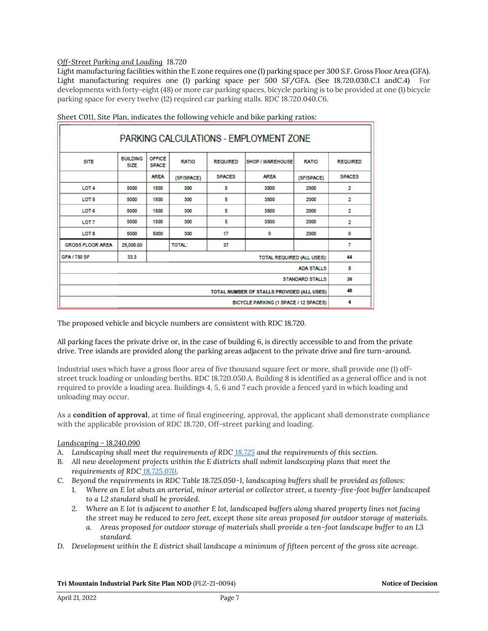### *Off-Street Parking and Loading 18.720*

Light manufacturing facilities within the E zone requires one (1) parking space per 300 S.F. Gross Floor Area (GFA). Light manufacturing requires one (1) parking space per 500 SF/GFA. (See 18.720.030.C.1 andC.4) For developments with forty-eight (48) or more car parking spaces, bicycle parking is to be provided at one (1) bicycle parking space for every twelve (12) required car parking stalls. RDC 18.720.040.C6.

| PARKING CALCULATIONS - EMPLOYMENT ZONE             |                                |                               |               |                 |                         |              |                 |  |  |
|----------------------------------------------------|--------------------------------|-------------------------------|---------------|-----------------|-------------------------|--------------|-----------------|--|--|
| <b>SITE</b>                                        | <b>BUILDING</b><br><b>SIZE</b> | <b>OFFICE</b><br><b>SPACE</b> | <b>RATIO</b>  | <b>REQUIRED</b> | <b>SHOP / WAREHOUSE</b> | <b>RATIO</b> | <b>REQUIRED</b> |  |  |
|                                                    |                                | <b>AREA</b>                   | (SF/SPACE)    | <b>SPACES</b>   | <b>AREA</b>             | (SF/SPACE)   | <b>SPACES</b>   |  |  |
| LOT <sub>4</sub>                                   | 5000                           | 1500                          | 300           | 5               | 3500                    | 2000         | 2               |  |  |
| LOT <sub>5</sub>                                   | 5000                           | 1500                          | 300           | 5               | 3500                    | 2000         | 2               |  |  |
| LOT 6                                              | 5000                           | 1500                          | 300           | 5               | 3500                    | 2000         | 2               |  |  |
| LOT <sub>7</sub>                                   | 5000                           | 1500                          | 300           | 5               | 3500                    | 2000         | 2               |  |  |
| LOT 8                                              | 5000                           | 5000                          | 300           | 17              | ٥                       | 2000         | 0               |  |  |
| <b>GROSS FLOOR AREA</b>                            | 25,000.00                      |                               | <b>TOTAL:</b> | 37              |                         |              | 7               |  |  |
| GFA / 750 SF<br>33.3<br>TOTAL REQUIRED (ALL USES): |                                |                               |               |                 |                         |              | 44              |  |  |
| <b>ADA STALLS</b>                                  |                                |                               |               |                 |                         |              | 5               |  |  |
| <b>STANDARD STALLS</b>                             |                                |                               |               |                 |                         |              | 39              |  |  |
| TOTAL NUMBER OF STALLS PROVIDED (ALL USES)         |                                |                               |               |                 |                         | 48           |                 |  |  |
| BICYCLE PARKING (1 SPACE / 12 SPACES)              |                                |                               |               |                 |                         |              | 4               |  |  |

Sheet C011, Site Plan, indicates the following vehicle and bike parking ratios:

The proposed vehicle and bicycle numbers are consistent with RDC 18.720.

All parking faces the private drive or, in the case of building 6, is directly accessible to and from the private drive. Tree islands are provided along the parking areas adjacent to the private drive and fire turn-around.

Industrial uses which have a gross floor area of five thousand square feet or more, shall provide one (1) offstreet truck loading or unloading berths. RDC 18.720.050.A. Building 8 is identified as a general office and is not required to provide a loading area. Buildings 4, 5, 6 and 7 each provide a fenced yard in which loading and unloading may occur.

As a **condition of approval**, at time of final engineering, approval, the applicant shall demonstrate compliance with the applicable provision of RDC 18.720, Off-street parking and loading.

### *Landscaping - 18.240.090*

- *A. Landscaping shall meet the requirements of RDC [18.725](https://library.municode.com/wa/ridgefield/codes/code_of_ordinances/388180?nodeId=CO_TIT18DECO_CH18.725LA) and the requirements of this section.*
- *B. All new development projects within the E districts shall submit landscaping plans that meet the requirements of RDC [18.725.070.](https://library.municode.com/wa/ridgefield/codes/code_of_ordinances/388180?nodeId=CO_TIT18DECO_CH18.725LA_18.725.070LAPL)*
- *C. Beyond the requirements in RDC Table 18.725.050-1, landscaping buffers shall be provided as follows:*
	- *1. Where an E lot abuts an arterial, minor arterial or collector street, a twenty-five-foot buffer landscaped to a L2 standard shall be provided.*
	- *2. Where an E lot is adjacent to another E lot, landscaped buffers along shared property lines not facing the street may be reduced to zero feet, except those site areas proposed for outdoor storage of materials.*
		- *a. Areas proposed for outdoor storage of materials shall provide a ten-foot landscape buffer to an L3 standard.*
- *D. Development within the E district shall landscape a minimum of fifteen percent of the gross site acreage.*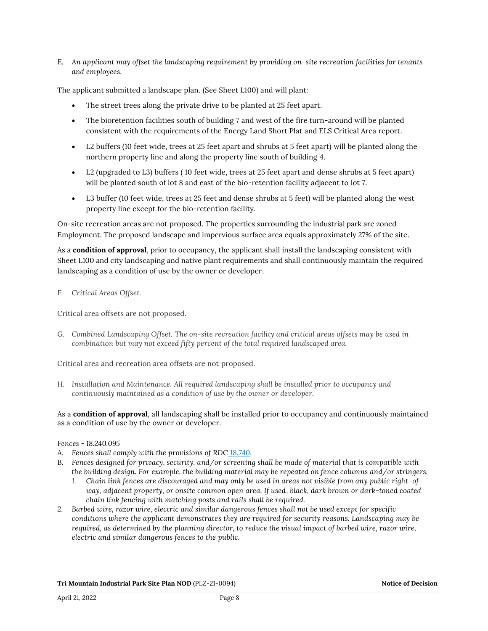*E. An applicant may offset the landscaping requirement by providing on-site recreation facilities for tenants and employees.*

The applicant submitted a landscape plan. (See Sheet L100) and will plant:

- The street trees along the private drive to be planted at 25 feet apart.
- The bioretention facilities south of building 7 and west of the fire turn-around will be planted consistent with the requirements of the Energy Land Short Plat and ELS Critical Area report.
- L2 buffers (10 feet wide, trees at 25 feet apart and shrubs at 5 feet apart) will be planted along the northern property line and along the property line south of building 4.
- L2 (upgraded to L3) buffers ( 10 feet wide, trees at 25 feet apart and dense shrubs at 5 feet apart) will be planted south of lot 8 and east of the bio-retention facility adjacent to lot 7.
- L3 buffer (10 feet wide, trees at 25 feet and dense shrubs at 5 feet) will be planted along the west property line except for the bio-retention facility.

On-site recreation areas are not proposed. The properties surrounding the industrial park are zoned Employment. The proposed landscape and impervious surface area equals approximately 27% of the site.

As a **condition of approval**, prior to occupancy, the applicant shall install the landscaping consistent with Sheet L100 and city landscaping and native plant requirements and shall continuously maintain the required landscaping as a condition of use by the owner or developer.

### *F. Critical Areas Offset.*

Critical area offsets are not proposed.

*G. Combined Landscaping Offset. The on-site recreation facility and critical areas offsets may be used in combination but may not exceed fifty percent of the total required landscaped area.*

Critical area and recreation area offsets are not proposed.

*H. Installation and Maintenance. All required landscaping shall be installed prior to occupancy and continuously maintained as a condition of use by the owner or developer.*

As a **condition of approval**, all landscaping shall be installed prior to occupancy and continuously maintained as a condition of use by the owner or developer.

#### *Fences - 18.240.095*

- *A. Fences shall comply with the provisions of RDC [18.740.](https://library.municode.com/wa/ridgefield/codes/code_of_ordinances/388180?nodeId=CO_TIT18DECO_CH18.740FEWA)*
- *B. Fences designed for privacy, security, and/or screening shall be made of material that is compatible with the building design. For example, the building material may be repeated on fence columns and/or stringers.*
	- *1. Chain link fences are discouraged and may only be used in areas not visible from any public right-ofway, adjacent property, or onsite common open area. If used, black, dark brown or dark-toned coated chain link fencing with matching posts and rails shall be required.*
- *2. Barbed wire, razor wire, electric and similar dangerous fences shall not be used except for specific conditions where the applicant demonstrates they are required for security reasons. Landscaping may be required, as determined by the planning director, to reduce the visual impact of barbed wire, razor wire, electric and similar dangerous fences to the public.*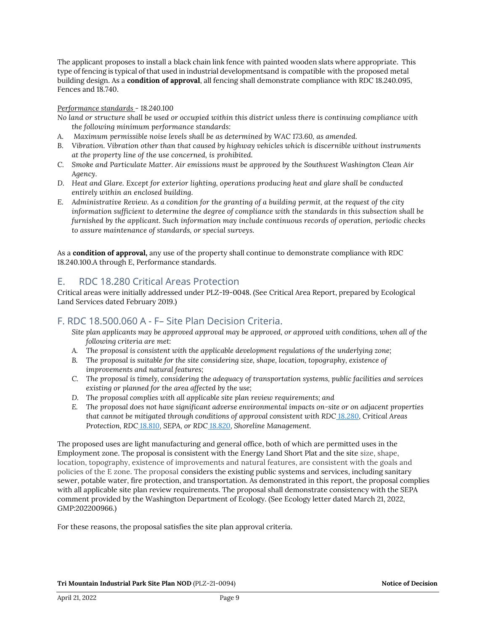The applicant proposes to install a black chain link fence with painted wooden slats where appropriate. This type of fencing is typical of that used in industrial developmentsand is compatible with the proposed metal building design. As a **condition of approval**, all fencing shall demonstrate compliance with RDC 18.240.095, Fences and 18.740.

### *Performance standards - 18.240.100*

*No land or structure shall be used or occupied within this district unless there is continuing compliance with the following minimum performance standards:*

- *A. Maximum permissible noise levels shall be as determined by WAC 173.60, as amended.*
- *B. Vibration. Vibration other than that caused by highway vehicles which is discernible without instruments at the property line of the use concerned, is prohibited.*
- *C. Smoke and Particulate Matter. Air emissions must be approved by the Southwest Washington Clean Air Agency.*
- *D. Heat and Glare. Except for exterior lighting, operations producing heat and glare shall be conducted entirely within an enclosed building.*
- *E. Administrative Review. As a condition for the granting of a building permit, at the request of the city information sufficient to determine the degree of compliance with the standards in this subsection shall be furnished by the applicant. Such information may include continuous records of operation, periodic checks to assure maintenance of standards, or special surveys.*

As a **condition of approval,** any use of the property shall continue to demonstrate compliance with RDC 18.240.100.A through E, Performance standards.

## E. RDC 18.280 Critical Areas Protection

Critical areas were initially addressed under PLZ-19-0048. (See Critical Area Report, prepared by Ecological Land Services dated February 2019.)

### F. RDC 18.500.060 A - F– Site Plan Decision Criteria.

- *Site plan applicants may be approved approval may be approved, or approved with conditions, when all of the following criteria are met:*
- *A. The proposal is consistent with the applicable development regulations of the underlying zone;*
- *B. The proposal is suitable for the site considering size, shape, location, topography, existence of improvements and natural features;*
- *C. The proposal is timely, considering the adequacy of transportation systems, public facilities and services existing or planned for the area affected by the use;*
- *D. The proposal complies with all applicable site plan review requirements; and*
- *E. The proposal does not have significant adverse environmental impacts on-site or on adjacent properties that cannot be mitigated through conditions of approval consistent with RDC [18.280,](https://library.municode.com/wa/ridgefield/codes/code_of_ordinances?nodeId=CO_TIT18DECO_CH18.280CRARPR) Critical Areas Protection, RDC [18.810,](https://library.municode.com/wa/ridgefield/codes/code_of_ordinances?nodeId=CO_TIT18DECO_CH18.810ENSTSE) SEPA, or RDC [18.820,](https://library.municode.com/wa/ridgefield/codes/code_of_ordinances?nodeId=CO_TIT18DECO_CH18.820SHMA) Shoreline Management.*

The proposed uses are light manufacturing and general office, both of which are permitted uses in the Employment zone. The proposal is consistent with the Energy Land Short Plat and the site size, shape, location, topography, existence of improvements and natural features, are consistent with the goals and policies of the E zone. The proposal considers the existing public systems and services, including sanitary sewer, potable water, fire protection, and transportation. As demonstrated in this report, the proposal complies with all applicable site plan review requirements. The proposal shall demonstrate consistency with the SEPA comment provided by the Washington Department of Ecology. (See Ecology letter dated March 21, 2022, GMP:202200966.)

For these reasons, the proposal satisfies the site plan approval criteria.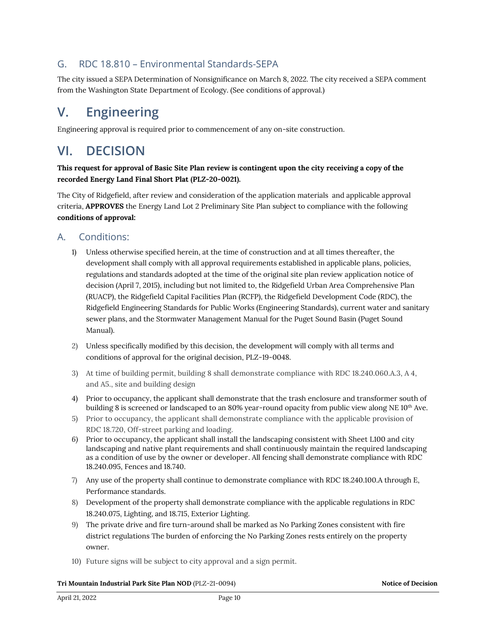## G. RDC 18.810 – Environmental Standards-SEPA

The city issued a SEPA Determination of Nonsignificance on March 8, 2022. The city received a SEPA comment from the Washington State Department of Ecology. (See conditions of approval.)

# **V. Engineering**

Engineering approval is required prior to commencement of any on-site construction.

# **VI. DECISION**

### **This request for approval of Basic Site Plan review is contingent upon the city receiving a copy of the recorded Energy Land Final Short Plat (PLZ-20-0021).**

The City of Ridgefield, after review and consideration of the application materials and applicable approval criteria, **APPROVES** the Energy Land Lot 2 Preliminary Site Plan subject to compliance with the following **conditions of approval:**

## A. Conditions:

- 1) Unless otherwise specified herein, at the time of construction and at all times thereafter, the development shall comply with all approval requirements established in applicable plans, policies, regulations and standards adopted at the time of the original site plan review application notice of decision (April 7, 2015), including but not limited to, the Ridgefield Urban Area Comprehensive Plan (RUACP), the Ridgefield Capital Facilities Plan (RCFP), the Ridgefield Development Code (RDC), the Ridgefield Engineering Standards for Public Works (Engineering Standards), current water and sanitary sewer plans, and the Stormwater Management Manual for the Puget Sound Basin (Puget Sound Manual).
- 2) Unless specifically modified by this decision, the development will comply with all terms and conditions of approval for the original decision, PLZ-19-0048.
- 3) At time of building permit, building 8 shall demonstrate compliance with RDC 18.240.060.A.3, A 4, and A5., site and building design
- 4) Prior to occupancy, the applicant shall demonstrate that the trash enclosure and transformer south of building 8 is screened or landscaped to an 80% year-round opacity from public view along NE 10<sup>th</sup> Ave.
- 5) Prior to occupancy, the applicant shall demonstrate compliance with the applicable provision of RDC 18.720, Off-street parking and loading.
- *6)* Prior to occupancy, the applicant shall install the landscaping consistent with Sheet L100 and city landscaping and native plant requirements and shall continuously maintain the required landscaping as a condition of use by the owner or developer. All fencing shall demonstrate compliance with RDC 18.240.095, Fences and 18.740.
- 7) Any use of the property shall continue to demonstrate compliance with RDC 18.240.100.A through E, Performance standards.
- 8) Development of the property shall demonstrate compliance with the applicable regulations in RDC 18.240.075, Lighting, and 18.715, Exterior Lighting.
- 9) The private drive and fire turn-around shall be marked as No Parking Zones consistent with fire district regulations The burden of enforcing the No Parking Zones rests entirely on the property owner.
- 10) Future signs will be subject to city approval and a sign permit.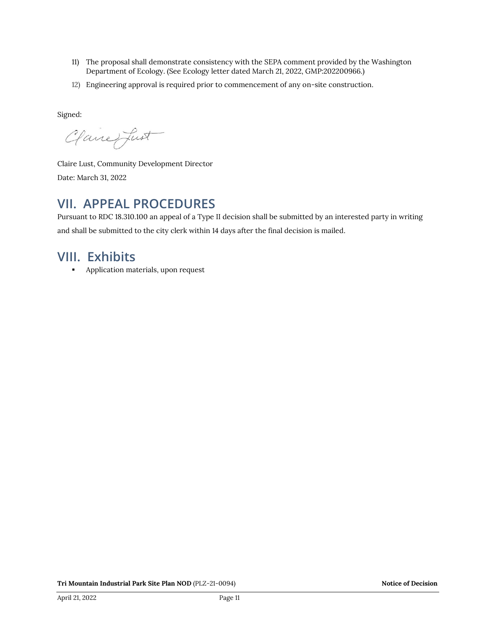- 11) The proposal shall demonstrate consistency with the SEPA comment provided by the Washington Department of Ecology. (See Ecology letter dated March 21, 2022, GMP:202200966.)
- 12) Engineering approval is required prior to commencement of any on-site construction.

Signed:

Clane fust

Claire Lust, Community Development Director Date: March 31, 2022

# **VII. APPEAL PROCEDURES**

Pursuant to RDC 18.310.100 an appeal of a Type II decision shall be submitted by an interested party in writing and shall be submitted to the city clerk within 14 days after the final decision is mailed.

# **VIII. Exhibits**

**•** Application materials, upon request